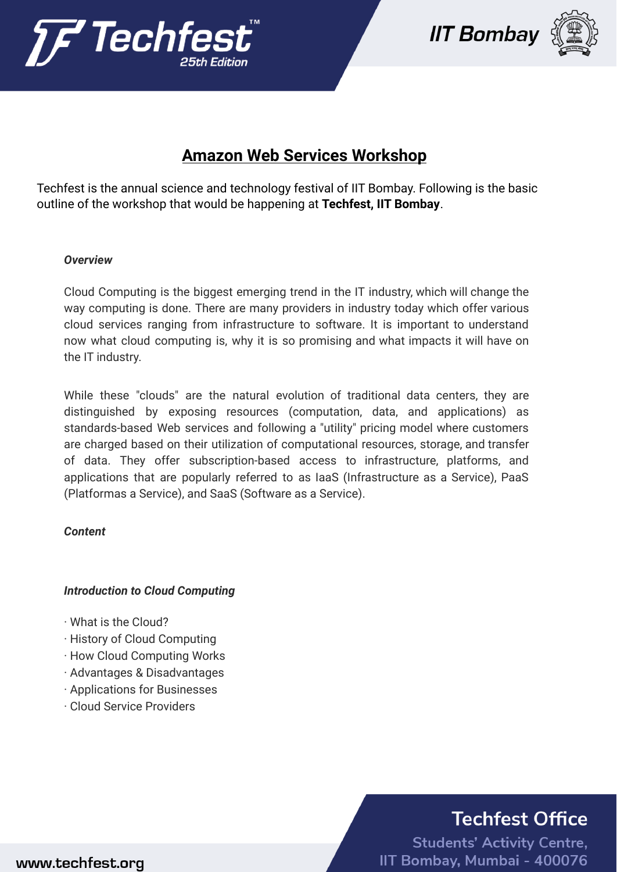





## **Amazon Web Services Workshop**

Techfest is the annual science and technology festival of IIT Bombay. Following is the basic outline of the workshop that would be happening at **Techfest, IIT Bombay**.

#### *Overview*

Cloud Computing is the biggest emerging trend in the IT industry, which will change the way computing is done. There are many providers in industry today which offer various cloud services ranging from infrastructure to software. It is important to understand now what cloud computing is, why it is so promising and what impacts it will have on the IT industry.

While these "clouds" are the natural evolution of traditional data centers, they are distinguished by exposing resources (computation, data, and applications) as standards-based Web services and following a "utility" pricing model where customers are charged based on their utilization of computational resources, storage, and transfer of data. They offer subscription-based access to infrastructure, platforms, and applications that are popularly referred to as IaaS (Infrastructure as a Service), PaaS (Platformas a Service), and SaaS (Software as a Service).

### *Content*

### *Introduction to Cloud Computing*

- · What is the Cloud?
- · History of Cloud Computing
- · How Cloud Computing Works
- · Advantages & Disadvantages
- · Applications for Businesses
- · Cloud Service Providers

## **Techfest Office**

**Students' Activity Centre,** IIT Bombay, Mumbai - 400076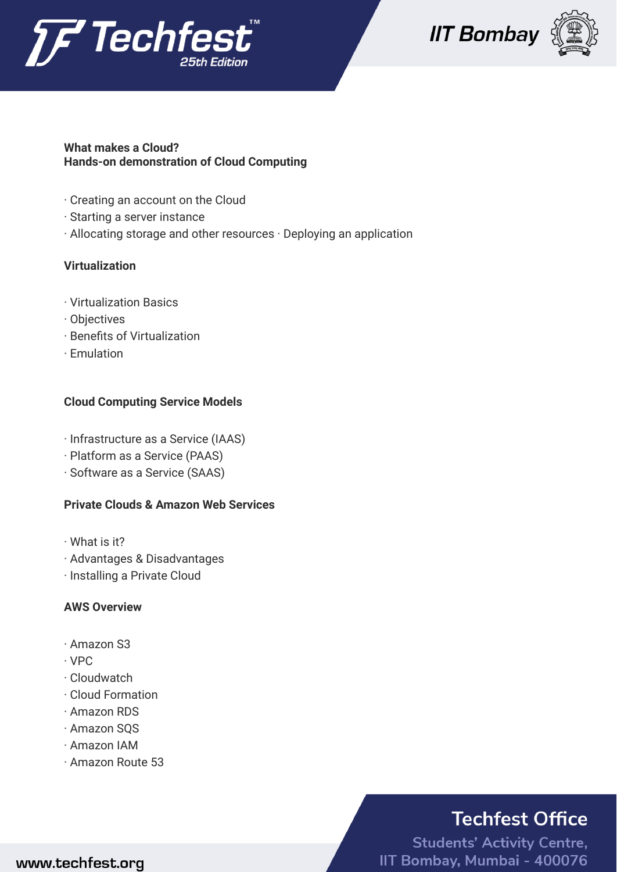





### **What makes a Cloud? Hands-on demonstration of Cloud Computing**

- · Creating an account on the Cloud
- · Starting a server instance
- · Allocating storage and other resources · Deploying an application

## **Virtualization**

- · Virtualization Basics
- · Objectives
- · Benefits of Virtualization
- · Emulation

## **Cloud Computing Service Models**

- · Infrastructure as a Service (IAAS)
- · Platform as a Service (PAAS)
- · Software as a Service (SAAS)

## **Private Clouds & Amazon Web Services**

- · What is it?
- · Advantages & Disadvantages
- · Installing a Private Cloud

### **AWS Overview**

- · Amazon S3
- · VPC
- · Cloudwatch
- · Cloud Formation
- · Amazon RDS
- · Amazon SQS
- · Amazon IAM
- · Amazon Route 53

# **Techfest Office**

**Students' Activity Centre,** IIT Bombay, Mumbai - 400076

## www.techfest.org